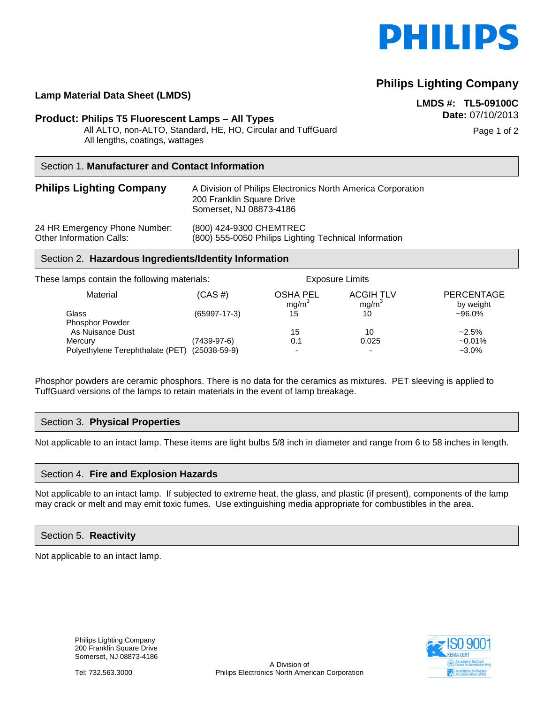

# **Philips Lighting Company**

## **LMDS #: TL5-09100C Date:** 07/10/2013

Page 1 of 2

**Lamp Material Data Sheet (LMDS)**

## **Product: Philips T5 Fluorescent Lamps – All Types**

All ALTO, non-ALTO, Standard, HE, HO, Circular and TuffGuard All lengths, coatings, wattages

## Section 1. **Manufacturer and Contact Information**

| <b>Philips Lighting Company</b> | A Division of Philips Electronics North America Corporation<br>200 Franklin Square Drive<br>Somerset, NJ 08873-4186 |  |
|---------------------------------|---------------------------------------------------------------------------------------------------------------------|--|
| 24 HR Emergency Phone Number:   | (800) 424-9300 CHEMTREC                                                                                             |  |
| Other Information Calls:        | (800) 555-0050 Philips Lighting Technical Information                                                               |  |

### Section 2. **Hazardous Ingredients/Identity Information**

| These lamps contain the following materials: |                | <b>Exposure Limits</b>               |                                       |                                |
|----------------------------------------------|----------------|--------------------------------------|---------------------------------------|--------------------------------|
| Material                                     | $(CAS \#)$     | <b>OSHA PEL</b><br>mg/m <sup>3</sup> | <b>ACGIH TLV</b><br>mg/m <sup>3</sup> | <b>PERCENTAGE</b><br>by weight |
| Glass                                        | $(65997-17-3)$ | 15                                   | 10                                    | $~100.0\%$                     |
| <b>Phosphor Powder</b>                       |                |                                      |                                       |                                |
| As Nuisance Dust                             |                | 15                                   | 10                                    | $~2.5\%$                       |
| Mercury                                      | (7439-97-6)    | 0.1                                  | 0.025                                 | $-0.01%$                       |
| Polyethylene Terephthalate (PET)             | $(25038-59-9)$ | -                                    |                                       | $-3.0\%$                       |

Phosphor powders are ceramic phosphors. There is no data for the ceramics as mixtures. PET sleeving is applied to TuffGuard versions of the lamps to retain materials in the event of lamp breakage.

## Section 3. **Physical Properties**

Not applicable to an intact lamp. These items are light bulbs 5/8 inch in diameter and range from 6 to 58 inches in length.

### Section 4. **Fire and Explosion Hazards**

Not applicable to an intact lamp. If subjected to extreme heat, the glass, and plastic (if present), components of the lamp may crack or melt and may emit toxic fumes. Use extinguishing media appropriate for combustibles in the area.

### Section 5. **Reactivity**

Not applicable to an intact lamp.

Philips Lighting Company 200 Franklin Square Drive Somerset, NJ 08873-4186